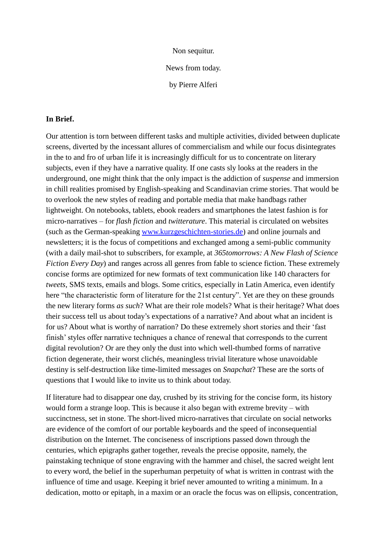Non sequitur.

News from today.

by Pierre Alferi

## **In Brief.**

Our attention is torn between different tasks and multiple activities, divided between duplicate screens, diverted by the incessant allures of commercialism and while our focus disintegrates in the to and fro of urban life it is increasingly difficult for us to concentrate on literary subjects, even if they have a narrative quality. If one casts sly looks at the readers in the underground, one might think that the only impact is the addiction of *suspense* and immersion in chill realities promised by English-speaking and Scandinavian crime stories. That would be to overlook the new styles of reading and portable media that make handbags rather lightweight. On notebooks, tablets, ebook readers and smartphones the latest fashion is for micro-narratives – for *flash fiction* and *twitterature*. This material is circulated on websites (such as the German-speaking [www.kurzgeschichten-stories.de\)](http://www.kurzgeschichten-stories.de/) and online journals and newsletters; it is the focus of competitions and exchanged among a semi-public community (with a daily mail-shot to subscribers, for example, at *365tomorrows: A New Flash of Science Fiction Every Day*) and ranges across all genres from fable to science fiction. These extremely concise forms are optimized for new formats of text communication like 140 characters for *tweets*, SMS texts, emails and blogs. Some critics, especially in Latin America, even identify here "the characteristic form of literature for the 21st century". Yet are they on these grounds the new literary forms *as such*? What are their role models? What is their heritage? What does their success tell us about today's expectations of a narrative? And about what an incident is for us? About what is worthy of narration? Do these extremely short stories and their 'fast finish' styles offer narrative techniques a chance of renewal that corresponds to the current digital revolution? Or are they only the dust into which well-thumbed forms of narrative fiction degenerate, their worst clichés, meaningless trivial literature whose unavoidable destiny is self-destruction like time-limited messages on *Snapchat*? These are the sorts of questions that I would like to invite us to think about today.

If literature had to disappear one day, crushed by its striving for the concise form, its history would form a strange loop. This is because it also began with extreme brevity – with succinctness, set in stone. The short-lived micro-narratives that circulate on social networks are evidence of the comfort of our portable keyboards and the speed of inconsequential distribution on the Internet. The conciseness of inscriptions passed down through the centuries, which epigraphs gather together, reveals the precise opposite, namely, the painstaking technique of stone engraving with the hammer and chisel, the sacred weight lent to every word, the belief in the superhuman perpetuity of what is written in contrast with the influence of time and usage. Keeping it brief never amounted to writing a minimum. In a dedication, motto or epitaph, in a maxim or an oracle the focus was on ellipsis, concentration,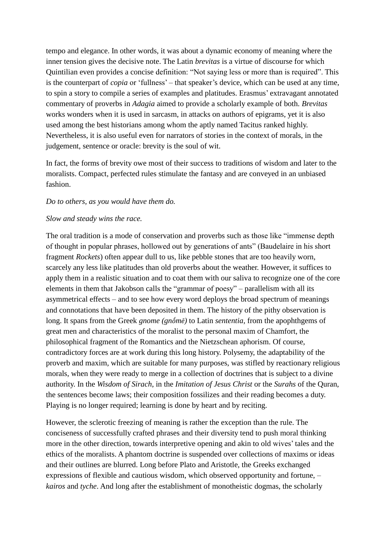tempo and elegance. In other words, it was about a dynamic economy of meaning where the inner tension gives the decisive note. The Latin *brevitas* is a virtue of discourse for which Quintilian even provides a concise definition: "Not saying less or more than is required". This is the counterpart of *copia* or 'fullness' – that speaker's device, which can be used at any time, to spin a story to compile a series of examples and platitudes. Erasmus' extravagant annotated commentary of proverbs in *Adagia* aimed to provide a scholarly example of both. *Brevitas* works wonders when it is used in sarcasm, in attacks on authors of epigrams, yet it is also used among the best historians among whom the aptly named Tacitus ranked highly. Nevertheless, it is also useful even for narrators of stories in the context of morals, in the judgement, sentence or oracle: brevity is the soul of wit.

In fact, the forms of brevity owe most of their success to traditions of wisdom and later to the moralists. Compact, perfected rules stimulate the fantasy and are conveyed in an unbiased fashion.

## *Do to others, as you would have them do.*

# *Slow and steady wins the race.*

The oral tradition is a mode of conservation and proverbs such as those like "immense depth of thought in popular phrases, hollowed out by generations of ants" (Baudelaire in his short fragment *Rockets*) often appear dull to us, like pebble stones that are too heavily worn, scarcely any less like platitudes than old proverbs about the weather. However, it suffices to apply them in a realistic situation and to coat them with our saliva to recognize one of the core elements in them that Jakobson calls the "grammar of poesy" – parallelism with all its asymmetrical effects – and to see how every word deploys the broad spectrum of meanings and connotations that have been deposited in them. The history of the pithy observation is long. It spans from the Greek *gnome (gnṓmē)* to Latin *sententia*, from the apophthgems of great men and characteristics of the moralist to the personal maxim of Chamfort, the philosophical fragment of the Romantics and the Nietzschean aphorism. Of course, contradictory forces are at work during this long history. Polysemy, the adaptability of the proverb and maxim, which are suitable for many purposes, was stifled by reactionary religious morals, when they were ready to merge in a collection of doctrines that is subject to a divine authority. In the *Wisdom of Sirach*, in the *Imitation of Jesus Christ* or the *Surahs* of the Quran, the sentences become laws; their composition fossilizes and their reading becomes a duty. Playing is no longer required; learning is done by heart and by reciting.

However, the sclerotic freezing of meaning is rather the exception than the rule. The conciseness of successfully crafted phrases and their diversity tend to push moral thinking more in the other direction, towards interpretive opening and akin to old wives' tales and the ethics of the moralists. A phantom doctrine is suspended over collections of maxims or ideas and their outlines are blurred. Long before Plato and Aristotle, the Greeks exchanged expressions of flexible and cautious wisdom, which observed opportunity and fortune, – *kairos* and *tyche*. And long after the establishment of monotheistic dogmas, the scholarly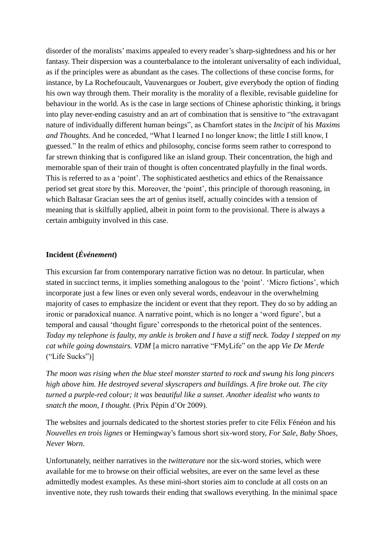disorder of the moralists' maxims appealed to every reader's sharp-sightedness and his or her fantasy. Their dispersion was a counterbalance to the intolerant universality of each individual, as if the principles were as abundant as the cases. The collections of these concise forms, for instance, by La Rochefoucault, Vauvenargues or Joubert, give everybody the option of finding his own way through them. Their morality is the morality of a flexible, revisable guideline for behaviour in the world. As is the case in large sections of Chinese aphoristic thinking, it brings into play never-ending casuistry and an art of combination that is sensitive to "the extravagant nature of individually different human beings", as Chamfort states in the *Incipit* of his *Maxims and Thoughts.* And he conceded, "What I learned I no longer know; the little I still know, I guessed." In the realm of ethics and philosophy, concise forms seem rather to correspond to far strewn thinking that is configured like an island group. Their concentration, the high and memorable span of their train of thought is often concentrated playfully in the final words. This is referred to as a 'point'. The sophisticated aesthetics and ethics of the Renaissance period set great store by this. Moreover, the 'point', this principle of thorough reasoning, in which Baltasar Gracian sees the art of genius itself, actually coincides with a tension of meaning that is skilfully applied, albeit in point form to the provisional. There is always a certain ambiguity involved in this case.

# **Incident (***Événement***)**

This excursion far from contemporary narrative fiction was no detour. In particular, when stated in succinct terms, it implies something analogous to the 'point'. 'Micro fictions', which incorporate just a few lines or even only several words, endeavour in the overwhelming majority of cases to emphasize the incident or event that they report. They do so by adding an ironic or paradoxical nuance. A narrative point, which is no longer a 'word figure', but a temporal and causal 'thought figure' corresponds to the rhetorical point of the sentences. *Today my telephone is faulty, my ankle is broken and I have a stiff neck. Today I stepped on my cat while going downstairs. VDM* [a micro narrative "FMyLife" on the app *Vie De Merde*  ("Life Sucks")]

*The moon was rising when the blue steel monster started to rock and swung his long pincers high above him. He destroyed several skyscrapers and buildings. A fire broke out. The city turned a purple-red colour; it was beautiful like a sunset. Another idealist who wants to snatch the moon, I thought.* (Prix Pépin d'Or 2009).

The websites and journals dedicated to the shortest stories prefer to cite Félix Fénéon and his *Nouvelles en trois lignes* or Hemingway's famous short six-word story, *For Sale, Baby Shoes, Never Worn*.

Unfortunately, neither narratives in the *twitterature* nor the six-word stories, which were available for me to browse on their official websites, are ever on the same level as these admittedly modest examples. As these mini-short stories aim to conclude at all costs on an inventive note, they rush towards their ending that swallows everything. In the minimal space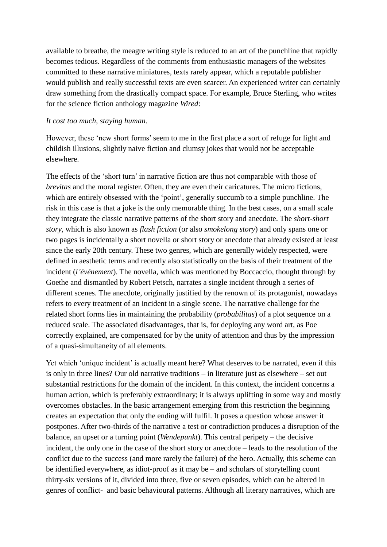available to breathe, the meagre writing style is reduced to an art of the punchline that rapidly becomes tedious. Regardless of the comments from enthusiastic managers of the websites committed to these narrative miniatures, texts rarely appear, which a reputable publisher would publish and really successful texts are even scarcer. An experienced writer can certainly draw something from the drastically compact space. For example, Bruce Sterling, who writes for the science fiction anthology magazine *Wired*:

### *It cost too much, staying human.*

However, these 'new short forms' seem to me in the first place a sort of refuge for light and childish illusions, slightly naive fiction and clumsy jokes that would not be acceptable elsewhere.

The effects of the 'short turn' in narrative fiction are thus not comparable with those of *brevitas* and the moral register. Often, they are even their caricatures. The micro fictions, which are entirely obsessed with the 'point', generally succumb to a simple punchline. The risk in this case is that a joke is the only memorable thing. In the best cases, on a small scale they integrate the classic narrative patterns of the short story and anecdote. The *short-short story*, which is also known as *flash fiction* (or also *smokelong story*) and only spans one or two pages is incidentally a short novella or short story or anecdote that already existed at least since the early 20th century. These two genres, which are generally widely respected, were defined in aesthetic terms and recently also statistically on the basis of their treatment of the incident (*l'événement*). The novella, which was mentioned by Boccaccio, thought through by Goethe and dismantled by Robert Petsch, narrates a single incident through a series of different scenes. The anecdote, originally justified by the renown of its protagonist, nowadays refers to every treatment of an incident in a single scene. The narrative challenge for the related short forms lies in maintaining the probability (*probabilitas*) of a plot sequence on a reduced scale. The associated disadvantages, that is, for deploying any word art, as Poe correctly explained, are compensated for by the unity of attention and thus by the impression of a quasi-simultaneity of all elements.

Yet which 'unique incident' is actually meant here? What deserves to be narrated, even if this is only in three lines? Our old narrative traditions – in literature just as elsewhere – set out substantial restrictions for the domain of the incident. In this context, the incident concerns a human action, which is preferably extraordinary; it is always uplifting in some way and mostly overcomes obstacles. In the basic arrangement emerging from this restriction the beginning creates an expectation that only the ending will fulfil. It poses a question whose answer it postpones. After two-thirds of the narrative a test or contradiction produces a disruption of the balance, an upset or a turning point (*Wendepunkt*). This central peripety – the decisive incident, the only one in the case of the short story or anecdote – leads to the resolution of the conflict due to the success (and more rarely the failure) of the hero. Actually, this scheme can be identified everywhere, as idiot-proof as it may be – and scholars of storytelling count thirty-six versions of it, divided into three, five or seven episodes, which can be altered in genres of conflict- and basic behavioural patterns. Although all literary narratives, which are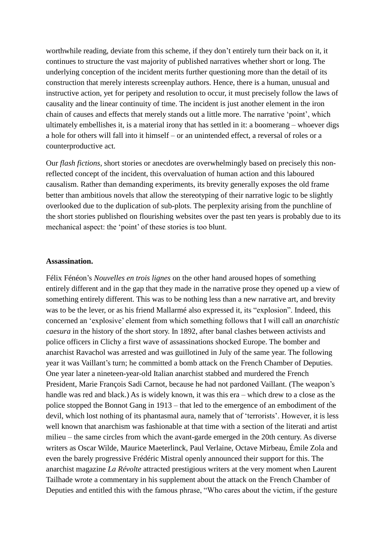worthwhile reading, deviate from this scheme, if they don't entirely turn their back on it, it continues to structure the vast majority of published narratives whether short or long. The underlying conception of the incident merits further questioning more than the detail of its construction that merely interests screenplay authors. Hence, there is a human, unusual and instructive action, yet for peripety and resolution to occur, it must precisely follow the laws of causality and the linear continuity of time. The incident is just another element in the iron chain of causes and effects that merely stands out a little more. The narrative 'point', which ultimately embellishes it, is a material irony that has settled in it: a boomerang – whoever digs a hole for others will fall into it himself – or an unintended effect, a reversal of roles or a counterproductive act.

Our *flash fictions*, short stories or anecdotes are overwhelmingly based on precisely this nonreflected concept of the incident, this overvaluation of human action and this laboured causalism. Rather than demanding experiments, its brevity generally exposes the old frame better than ambitious novels that allow the stereotyping of their narrative logic to be slightly overlooked due to the duplication of sub-plots. The perplexity arising from the punchline of the short stories published on flourishing websites over the past ten years is probably due to its mechanical aspect: the 'point' of these stories is too blunt.

#### **Assassination.**

Félix Fénéon's *Nouvelles en trois lignes* on the other hand aroused hopes of something entirely different and in the gap that they made in the narrative prose they opened up a view of something entirely different. This was to be nothing less than a new narrative art, and brevity was to be the lever, or as his friend Mallarmé also expressed it, its "explosion". Indeed, this concerned an 'explosive' element from which something follows that I will call an *anarchistic caesura* in the history of the short story. In 1892, after banal clashes between activists and police officers in Clichy a first wave of assassinations shocked Europe. The bomber and anarchist Ravachol was arrested and was guillotined in July of the same year. The following year it was Vaillant's turn; he committed a bomb attack on the French Chamber of Deputies. One year later a nineteen-year-old Italian anarchist stabbed and murdered the French President, Marie François Sadi Carnot, because he had not pardoned Vaillant. (The weapon's handle was red and black.) As is widely known, it was this era – which drew to a close as the police stopped the Bonnot Gang in 1913 – that led to the emergence of an embodiment of the devil, which lost nothing of its phantasmal aura, namely that of 'terrorists'. However, it is less well known that anarchism was fashionable at that time with a section of the literati and artist milieu – the same circles from which the avant-garde emerged in the 20th century. As diverse writers as Oscar Wilde, Maurice Maeterlinck, Paul Verlaine, Octave Mirbeau, Émile Zola and even the barely progressive Frédéric Mistral openly announced their support for this. The anarchist magazine *La Révolte* attracted prestigious writers at the very moment when Laurent Tailhade wrote a commentary in his supplement about the attack on the French Chamber of Deputies and entitled this with the famous phrase, "Who cares about the victim, if the gesture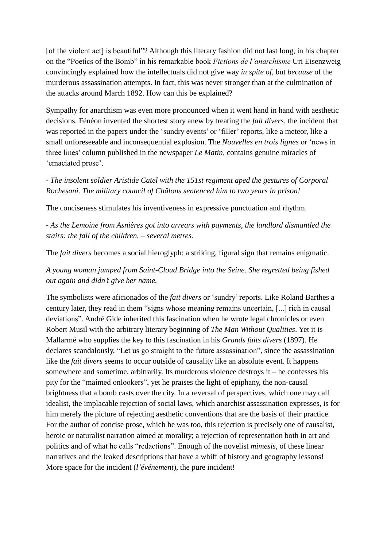[of the violent act] is beautiful"? Although this literary fashion did not last long, in his chapter on the "Poetics of the Bomb" in his remarkable book *Fictions de l'anarchisme* Uri Eisenzweig convincingly explained how the intellectuals did not give way *in spite of*, but *because* of the murderous assassination attempts. In fact, this was never stronger than at the culmination of the attacks around March 1892. How can this be explained?

Sympathy for anarchism was even more pronounced when it went hand in hand with aesthetic decisions. Fénéon invented the shortest story anew by treating the *fait divers*, the incident that was reported in the papers under the 'sundry events' or 'filler' reports, like a meteor, like a small unforeseeable and inconsequential explosion. The *Nouvelles en trois lignes* or 'news in three lines' column published in the newspaper *Le Matin*, contains genuine miracles of 'emaciated prose'.

*- The insolent soldier Aristide Catel with the 151st regiment aped the gestures of Corporal Rochesani. The military council of Châlons sentenced him to two years in prison!*

The conciseness stimulates his inventiveness in expressive punctuation and rhythm.

*- As the Lemoine from Asnières got into arrears with payments, the landlord dismantled the stairs: the fall of the children, – several metres.*

The *fait divers* becomes a social hieroglyph: a striking, figural sign that remains enigmatic.

*A young woman jumped from Saint-Cloud Bridge into the Seine. She regretted being fished out again and didn't give her name.*

The symbolists were aficionados of the *fait divers* or 'sundry' reports. Like Roland Barthes a century later, they read in them "signs whose meaning remains uncertain, [...] rich in causal deviations". André Gide inherited this fascination when he wrote legal chronicles or even Robert Musil with the arbitrary literary beginning of *The Man Without Qualities*. Yet it is Mallarmé who supplies the key to this fascination in his *Grands faits divers* (1897). He declares scandalously, "Let us go straight to the future assassination", since the assassination like the *fait divers* seems to occur outside of causality like an absolute event. It happens somewhere and sometime, arbitrarily. Its murderous violence destroys it – he confesses his pity for the "maimed onlookers", yet he praises the light of epiphany, the non-causal brightness that a bomb casts over the city. In a reversal of perspectives, which one may call idealist, the implacable rejection of social laws, which anarchist assassination expresses, is for him merely the picture of rejecting aesthetic conventions that are the basis of their practice. For the author of concise prose, which he was too, this rejection is precisely one of causalist, heroic or naturalist narration aimed at morality; a rejection of representation both in art and politics and of what he calls "redactions". Enough of the novelist *mimesis*, of these linear narratives and the leaked descriptions that have a whiff of history and geography lessons! More space for the incident (*l'événement*), the pure incident!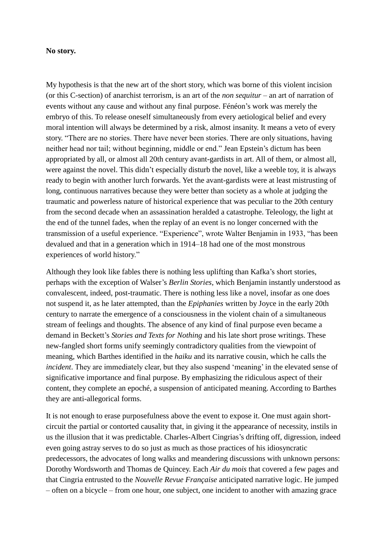# **No story.**

My hypothesis is that the new art of the short story, which was borne of this violent incision (or this C-section) of anarchist terrorism, is an art of the *non sequitur* – an art of narration of events without any cause and without any final purpose. Fénéon's work was merely the embryo of this. To release oneself simultaneously from every aetiological belief and every moral intention will always be determined by a risk, almost insanity. It means a veto of every story. "There are no stories. There have never been stories. There are only situations, having neither head nor tail; without beginning, middle or end." Jean Epstein's dictum has been appropriated by all, or almost all 20th century avant-gardists in art. All of them, or almost all, were against the novel. This didn't especially disturb the novel, like a weeble toy, it is always ready to begin with another lurch forwards. Yet the avant-gardists were at least mistrusting of long, continuous narratives because they were better than society as a whole at judging the traumatic and powerless nature of historical experience that was peculiar to the 20th century from the second decade when an assassination heralded a catastrophe. Teleology, the light at the end of the tunnel fades, when the replay of an event is no longer concerned with the transmission of a useful experience. "Experience", wrote Walter Benjamin in 1933, "has been devalued and that in a generation which in 1914–18 had one of the most monstrous experiences of world history."

Although they look like fables there is nothing less uplifting than Kafka's short stories, perhaps with the exception of Walser's *Berlin Stories*, which Benjamin instantly understood as convalescent, indeed, post-traumatic. There is nothing less like a novel, insofar as one does not suspend it, as he later attempted, than the *Epiphanies* written by Joyce in the early 20th century to narrate the emergence of a consciousness in the violent chain of a simultaneous stream of feelings and thoughts. The absence of any kind of final purpose even became a demand in Beckett's *Stories and Texts for Nothing* and his late short prose writings. These new-fangled short forms unify seemingly contradictory qualities from the viewpoint of meaning, which Barthes identified in the *haiku* and its narrative cousin, which he calls the *incident*. They are immediately clear, but they also suspend 'meaning' in the elevated sense of significative importance and final purpose. By emphasizing the ridiculous aspect of their content, they complete an epoché, a suspension of anticipated meaning. According to Barthes they are anti-allegorical forms.

It is not enough to erase purposefulness above the event to expose it. One must again shortcircuit the partial or contorted causality that, in giving it the appearance of necessity, instils in us the illusion that it was predictable. Charles-Albert Cingrias's drifting off, digression, indeed even going astray serves to do so just as much as those practices of his idiosyncratic predecessors, the advocates of long walks and meandering discussions with unknown persons: Dorothy Wordsworth and Thomas de Quincey. Each *Air du mois* that covered a few pages and that Cingria entrusted to the *Nouvelle Revue Française* anticipated narrative logic. He jumped – often on a bicycle – from one hour, one subject, one incident to another with amazing grace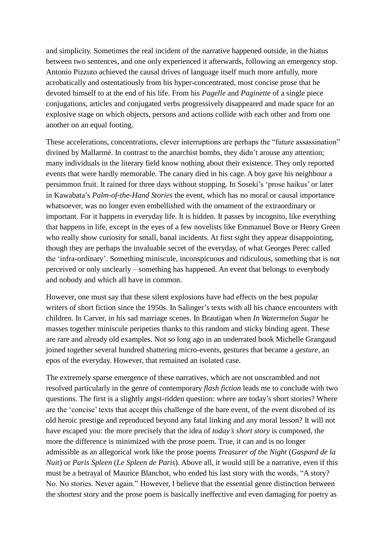and simplicity. Sometimes the real incident of the narrative happened outside, in the hiatus between two sentences, and one only experienced it afterwards, following an emergency stop. Antonio Pizzuto achieved the causal drives of language itself much more artfully, more acrobatically and ostentatiously from his hyper-concentrated, most concise prose that he devoted himself to at the end of his life. From his *Pagelle* and *Paginette* of a single piece conjugations, articles and conjugated verbs progressively disappeared and made space for an explosive stage on which objects, persons and actions collide with each other and from one another on an equal footing.

These accelerations, concentrations, clever interruptions are perhaps the "future assassination" divined by Mallarmé. In contrast to the anarchist bombs, they didn't arouse any attention; many individuals in the literary field know nothing about their existence. They only reported events that were hardly memorable. The canary died in his cage. A boy gave his neighbour a persimmon fruit. It rained for three days without stopping. In Soseki's 'prose haikus' or later in Kawabata's *Palm-of-the-Hand Stories* the event, which has no moral or causal importance whatsoever, was no longer even embellished with the ornament of the extraordinary or important. For it happens in everyday life. It is hidden. It passes by incognito, like everything that happens in life, except in the eyes of a few novelists like Emmanuel Bove or Henry Green who really show curiosity for small, banal incidents. At first sight they appear disappointing, though they are perhaps the invaluable secret of the everyday, of what Georges Perec called the 'infra-ordinary'. Something miniscule, inconspicuous and ridiculous, something that is not perceived or only unclearly – something has happened. An event that belongs to everybody and nobody and which all have in common.

However, one must say that these silent explosions have had effects on the best popular writers of short fiction since the 1950s. In Salinger's texts with all his chance encounters with children. In Carver, in his sad marriage scenes. In Brautigan when *In Watermelon Sugar* he masses together miniscule peripeties thanks to this random and sticky binding agent. These are rare and already old examples. Not so long ago in an underrated book Michelle Grangaud joined together several hundred shattering micro-events, gestures that became a *gesture*, an epos of the everyday. However, that remained an isolated case.

The extremely sparse emergence of these narratives, which are not unscrambled and not resolved particularly in the genre of contemporary *flash fiction* leads me to conclude with two questions. The first is a slightly angst-ridden question: where are today's short stories? Where are the 'concise' texts that accept this challenge of the bare event, of the event disrobed of its old heroic prestige and reproduced beyond any fatal linking and any moral lesson? It will not have escaped you: the more precisely that the idea of *today's short story* is composed, the more the difference is minimized with the prose poem. True, it can and is no longer admissible as an allegorical work like the prose poems *Treasurer of the Night* (*Gaspard de la Nuit*) or *Paris Spleen* (*Le Spleen de Paris*). Above all, it would still be a narrative, even if this must be a betrayal of Maurice Blanchot, who ended his last story with the words, "A story? No. No stories. Never again." However, I believe that the essential genre distinction between the shortest story and the prose poem is basically ineffective and even damaging for poetry as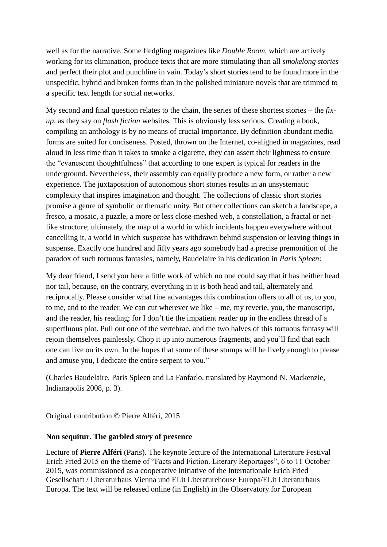well as for the narrative. Some fledgling magazines like *Double Room*, which are actively working for its elimination, produce texts that are more stimulating than all *smokelong stories* and perfect their plot and punchline in vain. Today's short stories tend to be found more in the unspecific, hybrid and broken forms than in the polished miniature novels that are trimmed to a specific text length for social networks.

My second and final question relates to the chain, the series of these shortest stories – the *fixup*, as they say on *flash fiction* websites. This is obviously less serious. Creating a book, compiling an anthology is by no means of crucial importance. By definition abundant media forms are suited for conciseness. Posted, thrown on the Internet, co-aligned in magazines, read aloud in less time than it takes to smoke a cigarette, they can assert their lightness to ensure the "evanescent thoughtfulness" that according to one expert is typical for readers in the underground. Nevertheless, their assembly can equally produce a new form, or rather a new experience. The juxtaposition of autonomous short stories results in an unsystematic complexity that inspires imagination and thought. The collections of classic short stories promise a genre of symbolic or thematic unity. But other collections can sketch a landscape, a fresco, a mosaic, a puzzle, a more or less close-meshed web, a constellation, a fractal or netlike structure; ultimately, the map of a world in which incidents happen everywhere without cancelling it, a world in which *suspense* has withdrawn behind suspension or leaving things in suspense. Exactly one hundred and fifty years ago somebody had a precise premonition of the paradox of such tortuous fantasies, namely, Baudelaire in his dedication in *Paris Spleen*:

My dear friend, I send you here a little work of which no one could say that it has neither head nor tail, because, on the contrary, everything in it is both head and tail, alternately and reciprocally. Please consider what fine advantages this combination offers to all of us, to you, to me, and to the reader. We can cut wherever we like – me, my reverie, you, the manuscript, and the reader, his reading; for I don't tie the impatient reader up in the endless thread of a superfluous plot. Pull out one of the vertebrae, and the two halves of this tortuous fantasy will rejoin themselves painlessly. Chop it up into numerous fragments, and you'll find that each one can live on its own. In the hopes that some of these stumps will be lively enough to please and amuse you, I dedicate the entire serpent to you."

(Charles Baudelaire, Paris Spleen and La Fanfarlo, translated by Raymond N. Mackenzie, Indianapolis 2008, p. 3).

Original contribution © Pierre Alféri, 2015

# **Non sequitur. The garbled story of presence**

Lecture of **[Pierre Alféri](http://www.readme.cc/book-tips-readers/author/showauthor/8036/)** (Paris). The keynote lecture of the [International Literature Festival](http://www.erichfriedtage.com/)  [Erich Fried](http://www.erichfriedtage.com/) 2015 on the theme of "Facts and Fiction. Literary Reportages", 6 to 11 October 2015, was commissioned as a cooperative initiative of the Internationale Erich Fried Gesellschaft / Literaturhaus Vienna und ELit Literaturehouse Europa/ELit Literaturhaus Europa. The text will be released online (in English) in the Observatory for European